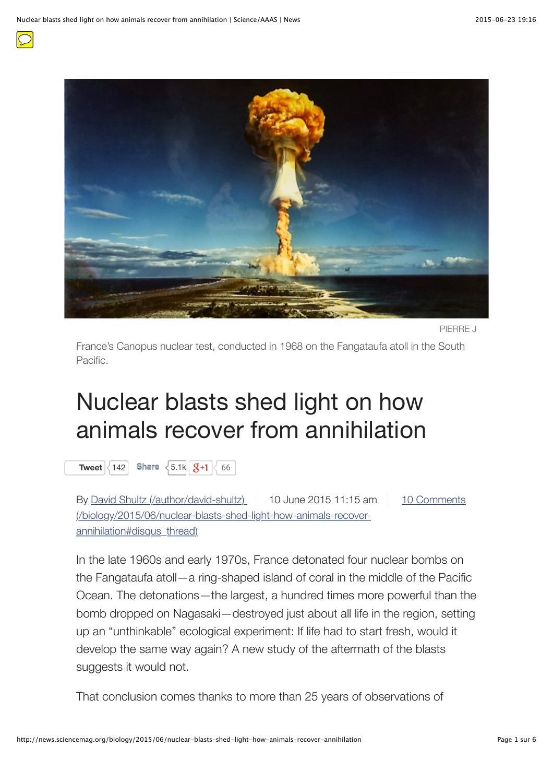

PIERRE J

France's Canopus nuclear test, conducted in 1968 on the Fangataufa atoll in the South Pacific.

## Nuclear blasts shed light on how animals recover from annihilation

**[Tweet](https://twitter.com/intent/tweet?original_referer=http%3A%2F%2Fnews.sciencemag.org%2Fbiology%2F2015%2F06%2Fnuclear-blasts-shed-light-how-animals-recover-annihilation&related=%3A&text=Nuclear%20blasts%20shed%20light%20on%20how%20animals%20recover%20from%20annihilation&tw_p=tweetbutton&url=http%3A%2F%2Fnews.sciencemag.org%2Fbiology%2F2015%2F06%2Fnuclear-blasts-shed-light-how-animals-recover-annihilation)**  $\begin{array}{|c|c|c|c|}\n\hline\n142 & \hline\n\end{array}$  $\begin{array}{|c|c|c|c|}\n\hline\n142 & \hline\n\end{array}$  $\begin{array}{|c|c|c|c|}\n\hline\n142 & \hline\n\end{array}$  **Share**  $\begin{array}{|c|c|c|}\n\hline\n\end{array}$  5.1k  $\begin{array}{|c|c|c|}\n\hline\n\end{array}$  3+1  $\begin{array}{|c|c|}\n\hline\n\end{array}$  66

[By](http://news.sciencemag.org/biology/2015/06/nuclear-blasts-shed-light-how-animals-recover-annihilation#disqus_thread) [David Shultz \(/author/david-shultz\)](http://news.sciencemag.org/author/david-shultz) [10 June 2015 11:15 am](http://news.sciencemag.org/biology/2015/06/nuclear-blasts-shed-light-how-animals-recover-annihilation#disqus_thread) 10 Comments (/biology/2015/06/nuclear-blasts-shed-light-how-animals-recoverannihilation#disqus\_thread)

In the late 1960s and early 1970s, France detonated four nuclear bombs on the Fangataufa atoll—a ring-shaped island of coral in the middle of the Pacific Ocean. The detonations—the largest, a hundred times more powerful than the bomb dropped on Nagasaki—destroyed just about all life in the region, setting up an "unthinkable" ecological experiment: If life had to start fresh, would it develop the same way again? A new study of the aftermath of the blasts suggests it would not.

That conclusion comes thanks to more than 25 years of observations of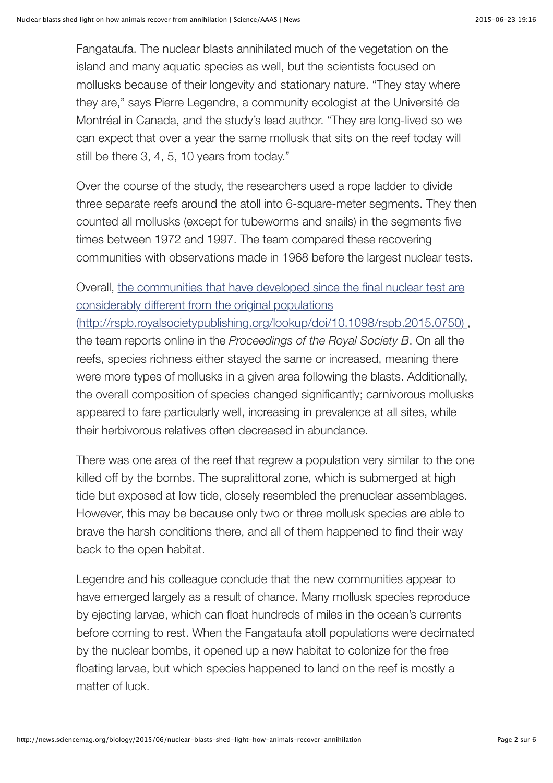Fangataufa. The nuclear blasts annihilated much of the vegetation on the island and many aquatic species as well, but the scientists focused on mollusks because of their longevity and stationary nature. "They stay where they are," says Pierre Legendre, a community ecologist at the Université de Montréal in Canada, and the study's lead author. "They are long-lived so we can expect that over a year the same mollusk that sits on the reef today will still be there 3, 4, 5, 10 years from today."

Over the course of the study, the researchers used a rope ladder to divide three separate reefs around the atoll into 6-square-meter segments. They then counted all mollusks (except for tubeworms and snails) in the segments five times between 1972 and 1997. The team compared these recovering communities with observations made in 1968 before the largest nuclear tests.

Overall, the communities that have developed since the final nuclear test are considerably different from the original populations

[\(http://rspb.royalsocietypublishing.org/lookup/doi/10.1098/rspb.2015.0750\) ,](http://rspb.royalsocietypublishing.org/lookup/doi/10.1098/rspb.2015.0750) the team reports online in the *Proceedings of the Royal Society B*. On all the reefs, species richness either stayed the same or increased, meaning there were more types of mollusks in a given area following the blasts. Additionally, the overall composition of species changed significantly; carnivorous mollusks appeared to fare particularly well, increasing in prevalence at all sites, while their herbivorous relatives often decreased in abundance.

There was one area of the reef that regrew a population very similar to the one killed off by the bombs. The supralittoral zone, which is submerged at high tide but exposed at low tide, closely resembled the prenuclear assemblages. However, this may be because only two or three mollusk species are able to brave the harsh conditions there, and all of them happened to find their way back to the open habitat.

Legendre and his colleague conclude that the new communities appear to have emerged largely as a result of chance. Many mollusk species reproduce by ejecting larvae, which can float hundreds of miles in the ocean's currents before coming to rest. When the Fangataufa atoll populations were decimated by the nuclear bombs, it opened up a new habitat to colonize for the free floating larvae, but which species happened to land on the reef is mostly a matter of luck.